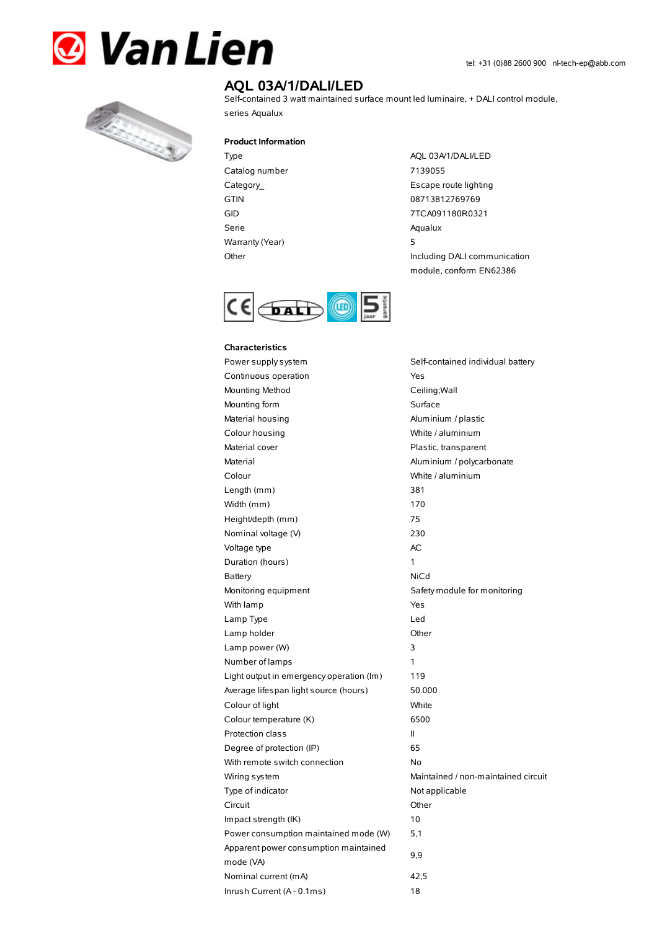



# **AQL 03A/1/DALI/LED**

Self-contained 3 watt maintained surface mount led luminaire, + DALI control module, series Aqualux

**Product Information**

- Type AQL 03A/1/DALI/LED Catalog number 7139055 GTIN 08713812769769 Serie Aqualux Warranty(Year) 5
- Category\_ **Escape route lighting** GID 7TCA091180R0321 Other Including DALI communication module, conform EN62386



## **Characteristics**

Power supply system Self-contained individual battery Continuous operation The Continuous operation Mounting Method Ceiling; Wall Mounting form example and surface Surface Material housing Material housing and Aluminium / plastic Colour housing **Colour Colour housing** White / aluminium Material cover **Plastic**, transparent Material Material Aluminium / polycarbonate Colour White / aluminium Length (mm) 381 Width (mm) 170 Height/depth (mm) 75 Nominal voltage (V) 230 Voltage type and a set of the AC Duration (hours) 1 Battery **NiCd** Monitoring equipment Safety module for monitoring With lamp Yes Lamp Type Led Lamp holder and the Communication of Communication of the Communication of the Communication of the Communication of the Communication of the Communication of the Communication of the Communication of the Communication of Lamp power (W) 3 Number of lamps 1 Light output in emergency operation (lm) 119 Average lifespan light source (hours) 50.000 Colour of light White Colour temperature (K) 6500 Protection class II Degree of protection (IP) 65 With remote switch connection No Wiring system **Maintained / non-maintained circuit** Type of indicator Not applicable Circuit Other Impact strength (IK) 10 Power consumption maintained mode (W) 5,1 Apparent power consumption maintained mode (VA) Nominal current (mA) 42,5 Inrush Current (A - 0.1ms) 18

9,9